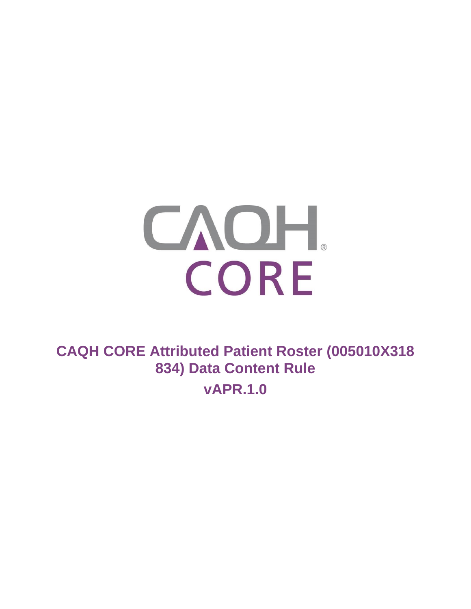

**CAQH CORE Attributed Patient Roster (005010X318 834) Data Content Rule**

**vAPR.1.0**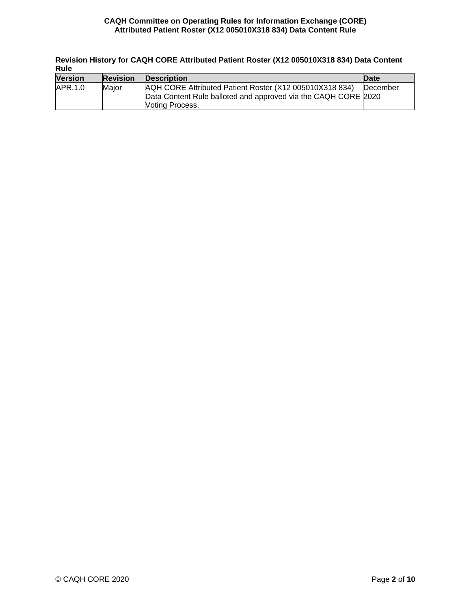**Revision History for CAQH CORE Attributed Patient Roster (X12 005010X318 834) Data Content Rule**

| nuic           |                 |                                                                                                                           |          |  |  |
|----------------|-----------------|---------------------------------------------------------------------------------------------------------------------------|----------|--|--|
| <b>Version</b> | <b>Revision</b> | <b>Description</b>                                                                                                        | Date     |  |  |
| APR.1.0        | Maior           | AQH CORE Attributed Patient Roster (X12 005010X318 834)<br>Data Content Rule balloted and approved via the CAQH CORE 2020 | December |  |  |
|                |                 | <b>Noting Process.</b>                                                                                                    |          |  |  |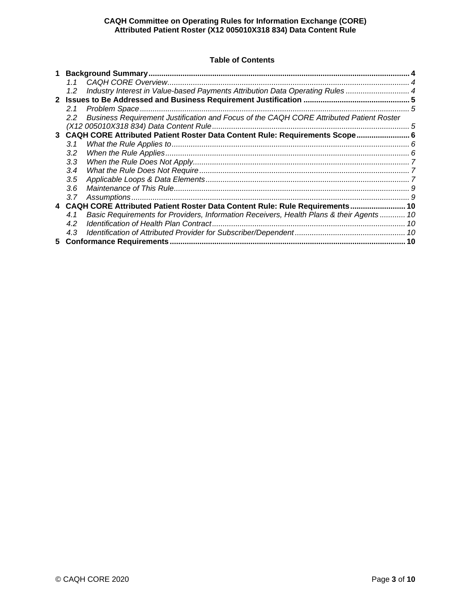# **Table of Contents**

|              | 11               |                                                                                          |  |
|--------------|------------------|------------------------------------------------------------------------------------------|--|
|              | $1.2^{\circ}$    | Industry Interest in Value-based Payments Attribution Data Operating Rules  4            |  |
| $\mathbf{2}$ |                  |                                                                                          |  |
|              | 2.1              |                                                                                          |  |
|              | $2.2^{\circ}$    | Business Requirement Justification and Focus of the CAQH CORE Attributed Patient Roster  |  |
|              |                  |                                                                                          |  |
|              |                  | 3 CAQH CORE Attributed Patient Roster Data Content Rule: Requirements Scope 6            |  |
|              | 3.1              |                                                                                          |  |
|              | 3.2 <sub>2</sub> |                                                                                          |  |
|              | 3.3              |                                                                                          |  |
|              | $3.4^{\circ}$    |                                                                                          |  |
|              | 3.5              |                                                                                          |  |
|              | $3.6^{\circ}$    |                                                                                          |  |
|              | 3.7              |                                                                                          |  |
| 4            |                  | CAQH CORE Attributed Patient Roster Data Content Rule: Rule Requirements 10              |  |
|              | 4.1              | Basic Requirements for Providers, Information Receivers, Health Plans & their Agents  10 |  |
|              | 4.2              |                                                                                          |  |
|              | 4.3              |                                                                                          |  |
| 5.           |                  |                                                                                          |  |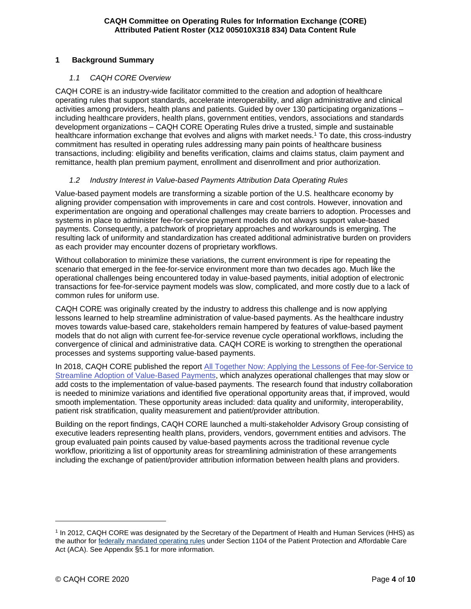## <span id="page-3-1"></span><span id="page-3-0"></span>**1 Background Summary**

## *1.1 CAQH CORE Overview*

CAQH CORE is an industry-wide facilitator committed to the creation and adoption of healthcare operating rules that support standards, accelerate interoperability, and align administrative and clinical activities among providers, health plans and patients. Guided by over 130 participating organizations – including healthcare providers, health plans, government entities, vendors, associations and standards development organizations – CAQH CORE Operating Rules drive a trusted, simple and sustainable healthcare information exchange that evolves and aligns with market needs.<sup>1</sup> To date, this cross-industry commitment has resulted in operating rules addressing many pain points of healthcare business transactions, including: eligibility and benefits verification, claims and claims status, claim payment and remittance, health plan premium payment, enrollment and disenrollment and prior authorization.

# <span id="page-3-2"></span>*1.2 Industry Interest in Value-based Payments Attribution Data Operating Rules*

Value-based payment models are transforming a sizable portion of the U.S. healthcare economy by aligning provider compensation with improvements in care and cost controls. However, innovation and experimentation are ongoing and operational challenges may create barriers to adoption. Processes and systems in place to administer fee-for-service payment models do not always support value-based payments. Consequently, a patchwork of proprietary approaches and workarounds is emerging. The resulting lack of uniformity and standardization has created additional administrative burden on providers as each provider may encounter dozens of proprietary workflows.

Without collaboration to minimize these variations, the current environment is ripe for repeating the scenario that emerged in the fee-for-service environment more than two decades ago. Much like the operational challenges being encountered today in value-based payments, initial adoption of electronic transactions for fee-for-service payment models was slow, complicated, and more costly due to a lack of common rules for uniform use.

CAQH CORE was originally created by the industry to address this challenge and is now applying lessons learned to help streamline administration of value-based payments. As the healthcare industry moves towards value-based care, stakeholders remain hampered by features of value-based payment models that do not align with current fee-for-service revenue cycle operational workflows, including the convergence of clinical and administrative data. CAQH CORE is working to strengthen the operational processes and systems supporting value-based payments.

In 2018, CAQH CORE published the report [All Together Now: Applying the Lessons of Fee-for-Service to](https://www.caqh.org/sites/default/files/core/value-based%20payments/core-value-based-payments-report.pdf?token=dxNjR8RY)  [Streamline Adoption of Value-Based Payments,](https://www.caqh.org/sites/default/files/core/value-based%20payments/core-value-based-payments-report.pdf?token=dxNjR8RY) which analyzes operational challenges that may slow or add costs to the implementation of value-based payments. The research found that industry collaboration is needed to minimize variations and identified five operational opportunity areas that, if improved, would smooth implementation. These opportunity areas included: data quality and uniformity, interoperability, patient risk stratification, quality measurement and patient/provider attribution.

Building on the report findings, CAQH CORE launched a multi-stakeholder Advisory Group consisting of executive leaders representing health plans, providers, vendors, government entities and advisors. The group evaluated pain points caused by value-based payments across the traditional revenue cycle workflow, prioritizing a list of opportunity areas for streamlining administration of these arrangements including the exchange of patient/provider attribution information between health plans and providers.

<sup>1</sup> In 2012, CAQH CORE was designated by the Secretary of the Department of Health and Human Services (HHS) as the author for [federally mandated operating rules](http://www.caqh.org/core/operating-rules-mandate) under Section 1104 of the Patient Protection and Affordable Care Act (ACA). See Appendix §5.1 for more information.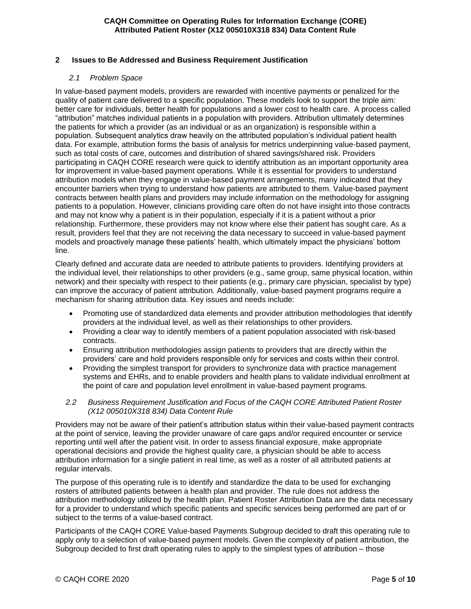## <span id="page-4-1"></span><span id="page-4-0"></span>**2 Issues to Be Addressed and Business Requirement Justification**

## *2.1 Problem Space*

In value-based payment models, providers are rewarded with incentive payments or penalized for the quality of patient care delivered to a specific population. These models look to support the triple aim: better care for individuals, better health for populations and a lower cost to health care. A process called "attribution" matches individual patients in a population with providers. Attribution ultimately determines the patients for which a provider (as an individual or as an organization) is responsible within a population. Subsequent analytics draw heavily on the attributed population's individual patient health data. For example, attribution forms the basis of analysis for metrics underpinning value-based payment, such as total costs of care, outcomes and distribution of shared savings/shared risk. Providers participating in CAQH CORE research were quick to identify attribution as an important opportunity area for improvement in value-based payment operations. While it is essential for providers to understand attribution models when they engage in value-based payment arrangements, many indicated that they encounter barriers when trying to understand how patients are attributed to them. Value-based payment contracts between health plans and providers may include information on the methodology for assigning patients to a population. However, clinicians providing care often do not have insight into those contracts and may not know why a patient is in their population, especially if it is a patient without a prior relationship. Furthermore, these providers may not know where else their patient has sought care. As a result, providers feel that they are not receiving the data necessary to succeed in value-based payment models and proactively manage these patients' health, which ultimately impact the physicians' bottom line.

Clearly defined and accurate data are needed to attribute patients to providers. Identifying providers at the individual level, their relationships to other providers (e.g., same group, same physical location, within network) and their specialty with respect to their patients (e.g., primary care physician, specialist by type) can improve the accuracy of patient attribution. Additionally, value-based payment programs require a mechanism for sharing attribution data. Key issues and needs include:

- Promoting use of standardized data elements and provider attribution methodologies that identify providers at the individual level, as well as their relationships to other providers.
- Providing a clear way to identify members of a patient population associated with risk-based contracts.
- Ensuring attribution methodologies assign patients to providers that are directly within the providers' care and hold providers responsible only for services and costs within their control.
- Providing the simplest transport for providers to synchronize data with practice management systems and EHRs, and to enable providers and health plans to validate individual enrollment at the point of care and population level enrollment in value-based payment programs.

### <span id="page-4-2"></span>*2.2 Business Requirement Justification and Focus of the CAQH CORE Attributed Patient Roster (X12 005010X318 834) Data Content Rule*

Providers may not be aware of their patient's attribution status within their value-based payment contracts at the point of service, leaving the provider unaware of care gaps and/or required encounter or service reporting until well after the patient visit. In order to assess financial exposure, make appropriate operational decisions and provide the highest quality care, a physician should be able to access attribution information for a single patient in real time, as well as a roster of all attributed patients at regular intervals.

The purpose of this operating rule is to identify and standardize the data to be used for exchanging rosters of attributed patients between a health plan and provider. The rule does not address the attribution methodology utilized by the health plan. Patient Roster Attribution Data are the data necessary for a provider to understand which specific patients and specific services being performed are part of or subject to the terms of a value-based contract.

Participants of the CAQH CORE Value-based Payments Subgroup decided to draft this operating rule to apply only to a selection of value-based payment models. Given the complexity of patient attribution, the Subgroup decided to first draft operating rules to apply to the simplest types of attribution – those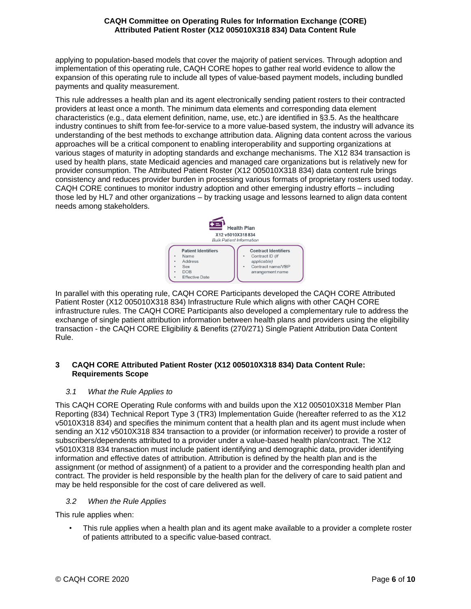applying to population-based models that cover the majority of patient services. Through adoption and implementation of this operating rule, CAQH CORE hopes to gather real world evidence to allow the expansion of this operating rule to include all types of value-based payment models, including bundled payments and quality measurement.

This rule addresses a health plan and its agent electronically sending patient rosters to their contracted providers at least once a month. The minimum data elements and corresponding data element characteristics (e.g., data element definition, name, use, etc.) are identified in §3.5. As the healthcare industry continues to shift from fee-for-service to a more value-based system, the industry will advance its understanding of the best methods to exchange attribution data. Aligning data content across the various approaches will be a critical component to enabling interoperability and supporting organizations at various stages of maturity in adopting standards and exchange mechanisms. The X12 834 transaction is used by health plans, state Medicaid agencies and managed care organizations but is relatively new for provider consumption. The Attributed Patient Roster (X12 005010X318 834) data content rule brings consistency and reduces provider burden in processing various formats of proprietary rosters used today. CAQH CORE continues to monitor industry adoption and other emerging industry efforts – including those led by HL7 and other organizations – by tracking usage and lessons learned to align data content needs among stakeholders.



In parallel with this operating rule, CAQH CORE Participants developed the CAQH CORE Attributed Patient Roster (X12 005010X318 834) Infrastructure Rule which aligns with other CAQH CORE infrastructure rules. The CAQH CORE Participants also developed a complementary rule to address the exchange of single patient attribution information between health plans and providers using the eligibility transaction - the CAQH CORE Eligibility & Benefits (270/271) Single Patient Attribution Data Content Rule.

# <span id="page-5-0"></span>**3 CAQH CORE Attributed Patient Roster (X12 005010X318 834) Data Content Rule: Requirements Scope**

# <span id="page-5-1"></span>*3.1 What the Rule Applies to*

This CAQH CORE Operating Rule conforms with and builds upon the X12 005010X318 Member Plan Reporting (834) Technical Report Type 3 (TR3) Implementation Guide (hereafter referred to as the X12 v5010X318 834) and specifies the minimum content that a health plan and its agent must include when sending an X12 v5010X318 834 transaction to a provider (or information receiver) to provide a roster of subscribers/dependents attributed to a provider under a value-based health plan/contract. The X12 v5010X318 834 transaction must include patient identifying and demographic data, provider identifying information and effective dates of attribution. Attribution is defined by the health plan and is the assignment (or method of assignment) of a patient to a provider and the corresponding health plan and contract. The provider is held responsible by the health plan for the delivery of care to said patient and may be held responsible for the cost of care delivered as well.

# <span id="page-5-2"></span>*3.2 When the Rule Applies*

This rule applies when:

• This rule applies when a health plan and its agent make available to a provider a complete roster of patients attributed to a specific value-based contract.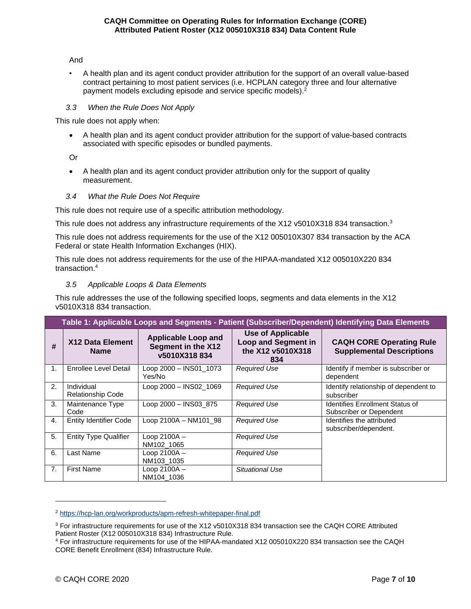#### And

• A health plan and its agent conduct provider attribution for the support of an overall value-based contract pertaining to most patient services (i.e. HCPLAN category three and four alternative payment models excluding episode and service specific models).<sup>2</sup>

### <span id="page-6-0"></span>*3.3 When the Rule Does Not Apply*

This rule does not apply when:

• A health plan and its agent conduct provider attribution for the support of value-based contracts associated with specific episodes or bundled payments.

Or

• A health plan and its agent conduct provider attribution only for the support of quality measurement.

## <span id="page-6-1"></span>*3.4 What the Rule Does Not Require*

This rule does not require use of a specific attribution methodology.

This rule does not address any infrastructure requirements of the X12 v5010X318 834 transaction.<sup>3</sup>

This rule does not address requirements for the use of the X12 005010X307 834 transaction by the ACA Federal or state Health Information Exchanges (HIX).

This rule does not address requirements for the use of the HIPAA-mandated X12 005010X220 834 transaction.<sup>4</sup>

## <span id="page-6-2"></span>*3.5 Applicable Loops & Data Elements*

This rule addresses the use of the following specified loops, segments and data elements in the X12 v5010X318 834 transaction.

| Table 1: Applicable Loops and Segments - Patient (Subscriber/Dependent) Identifying Data Elements |                                        |                                                                  |                                                                                    |                                                                     |
|---------------------------------------------------------------------------------------------------|----------------------------------------|------------------------------------------------------------------|------------------------------------------------------------------------------------|---------------------------------------------------------------------|
| #                                                                                                 | X12 Data Element<br><b>Name</b>        | <b>Applicable Loop and</b><br>Segment in the X12<br>v5010X318834 | <b>Use of Applicable</b><br><b>Loop and Segment in</b><br>the X12 v5010X318<br>834 | <b>CAQH CORE Operating Rule</b><br><b>Supplemental Descriptions</b> |
| 1.                                                                                                | Enrollee Level Detail                  | Loop 2000 - INS01_1073<br>Yes/No                                 | <b>Required Use</b>                                                                | Identify if member is subscriber or<br>dependent                    |
| 2.                                                                                                | Individual<br><b>Relationship Code</b> | Loop 2000 - INS02 1069                                           | <b>Required Use</b>                                                                | Identify relationship of dependent to<br>subscriber                 |
| 3.                                                                                                | Maintenance Type<br>Code               | Loop 2000 – INS03 875                                            | <b>Required Use</b>                                                                | <b>Identifies Enrollment Status of</b><br>Subscriber or Dependent   |
| 4.                                                                                                | <b>Entity Identifier Code</b>          | Loop 2100A - NM101 98                                            | <b>Required Use</b>                                                                | Identifies the attributed<br>subscriber/dependent.                  |
| 5.                                                                                                | <b>Entity Type Qualifier</b>           | Loop 2100A –<br>NM102 1065                                       | <b>Required Use</b>                                                                |                                                                     |
| 6.                                                                                                | Last Name                              | Loop 2100A -<br>NM103_1035                                       | <b>Required Use</b>                                                                |                                                                     |
| 7.                                                                                                | <b>First Name</b>                      | Loop 2100A-<br>NM104 1036                                        | Situational Use                                                                    |                                                                     |

<sup>2</sup> <https://hcp-lan.org/workproducts/apm-refresh-whitepaper-final.pdf>

<sup>3</sup> For infrastructure requirements for use of the X12 v5010X318 834 transaction see the CAQH CORE Attributed Patient Roster (X12 005010X318 834) Infrastructure Rule.

<sup>4</sup> For infrastructure requirements for use of the HIPAA-mandated X12 005010X220 834 transaction see the CAQH CORE Benefit Enrollment (834) Infrastructure Rule.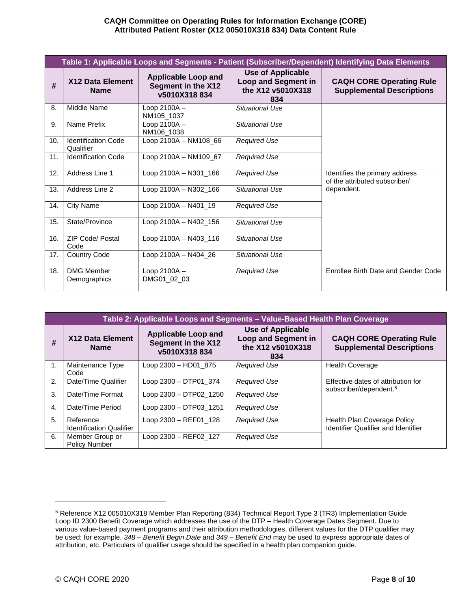| Table 1: Applicable Loops and Segments - Patient (Subscriber/Dependent) Identifying Data Elements |                                         |                                                                  |                                                                             |                                                                               |
|---------------------------------------------------------------------------------------------------|-----------------------------------------|------------------------------------------------------------------|-----------------------------------------------------------------------------|-------------------------------------------------------------------------------|
| #                                                                                                 | X12 Data Element<br><b>Name</b>         | <b>Applicable Loop and</b><br>Segment in the X12<br>v5010X318834 | <b>Use of Applicable</b><br>Loop and Segment in<br>the X12 v5010X318<br>834 | <b>CAQH CORE Operating Rule</b><br><b>Supplemental Descriptions</b>           |
| 8.                                                                                                | Middle Name                             | Loop 2100A -<br>NM105_1037                                       | <b>Situational Use</b>                                                      |                                                                               |
| 9.                                                                                                | Name Prefix                             | Loop 2100A-<br>NM106_1038                                        | Situational Use                                                             |                                                                               |
| 10.                                                                                               | <b>Identification Code</b><br>Qualifier | Loop 2100A - NM108_66                                            | <b>Required Use</b>                                                         |                                                                               |
| 11.                                                                                               | <b>Identification Code</b>              | Loop 2100A - NM109 67                                            | <b>Required Use</b>                                                         |                                                                               |
| 12.                                                                                               | Address Line 1                          | Loop 2100A - N301_166                                            | <b>Required Use</b>                                                         | Identifies the primary address<br>of the attributed subscriber/<br>dependent. |
| 13.                                                                                               | Address Line 2                          | Loop 2100A - N302_166                                            | Situational Use                                                             |                                                                               |
| 14.                                                                                               | <b>City Name</b>                        | Loop 2100A - N401_19                                             | <b>Required Use</b>                                                         |                                                                               |
| 15.                                                                                               | State/Province                          | Loop 2100A - N402_156                                            | Situational Use                                                             |                                                                               |
| 16.                                                                                               | <b>ZIP Code/ Postal</b><br>Code         | Loop 2100A - N403 116                                            | Situational Use                                                             |                                                                               |
| 17.                                                                                               | <b>Country Code</b>                     | Loop 2100A - N404_26                                             | Situational Use                                                             |                                                                               |
| 18.                                                                                               | <b>DMG Member</b><br>Demographics       | Loop 2100A-<br>DMG01_02_03                                       | <b>Required Use</b>                                                         | Enrollee Birth Date and Gender Code                                           |

| Table 2: Applicable Loops and Segments - Value-Based Health Plan Coverage |                                              |                                                                  |                                                                                    |                                                                          |
|---------------------------------------------------------------------------|----------------------------------------------|------------------------------------------------------------------|------------------------------------------------------------------------------------|--------------------------------------------------------------------------|
| #                                                                         | X12 Data Element<br><b>Name</b>              | <b>Applicable Loop and</b><br>Segment in the X12<br>v5010X318834 | <b>Use of Applicable</b><br><b>Loop and Segment in</b><br>the X12 v5010X318<br>834 | <b>CAQH CORE Operating Rule</b><br><b>Supplemental Descriptions</b>      |
| 1.                                                                        | Maintenance Type<br>Code                     | Loop 2300 - HD01_875                                             | <b>Required Use</b>                                                                | <b>Health Coverage</b>                                                   |
| 2.                                                                        | Date/Time Qualifier                          | Loop 2300 - DTP01 374                                            | <b>Required Use</b>                                                                | Effective dates of attribution for<br>subscriber/dependent. <sup>5</sup> |
| 3.                                                                        | Date/Time Format                             | Loop 2300 - DTP02 1250                                           | <b>Required Use</b>                                                                |                                                                          |
| 4.                                                                        | Date/Time Period                             | Loop 2300 - DTP03 1251                                           | <b>Required Use</b>                                                                |                                                                          |
| 5.                                                                        | Reference<br><b>Identification Qualifier</b> | Loop 2300 - REF01 128                                            | <b>Required Use</b>                                                                | Health Plan Coverage Policy<br>Identifier Qualifier and Identifier       |
| 6.                                                                        | Member Group or<br><b>Policy Number</b>      | Loop 2300 - REF02 127                                            | <b>Required Use</b>                                                                |                                                                          |

<sup>5</sup> Reference X12 005010X318 Member Plan Reporting (834) Technical Report Type 3 (TR3) Implementation Guide Loop ID 2300 Benefit Coverage which addresses the use of the DTP – Health Coverage Dates Segment. Due to various value-based payment programs and their attribution methodologies, different values for the DTP qualifier may be used; for example, *348 – Benefit Begin Date* and *349 – Benefit End* may be used to express appropriate dates of attribution, etc. Particulars of qualifier usage should be specified in a health plan companion guide.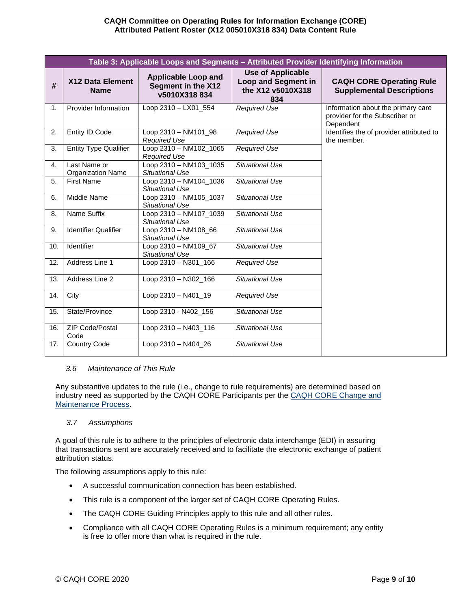| Table 3: Applicable Loops and Segments - Attributed Provider Identifying Information |                                   |                                                                  |                                                                             |                                                                                   |
|--------------------------------------------------------------------------------------|-----------------------------------|------------------------------------------------------------------|-----------------------------------------------------------------------------|-----------------------------------------------------------------------------------|
| #                                                                                    | X12 Data Element<br><b>Name</b>   | <b>Applicable Loop and</b><br>Segment in the X12<br>v5010X318834 | <b>Use of Applicable</b><br>Loop and Segment in<br>the X12 v5010X318<br>834 | <b>CAQH CORE Operating Rule</b><br><b>Supplemental Descriptions</b>               |
| $\mathbf{1}$ .                                                                       | Provider Information              | Loop 2310 - LX01_554                                             | <b>Required Use</b>                                                         | Information about the primary care<br>provider for the Subscriber or<br>Dependent |
| 2.                                                                                   | <b>Entity ID Code</b>             | Loop 2310 - NM101_98<br><b>Required Use</b>                      | <b>Required Use</b>                                                         | Identifies the of provider attributed to<br>the member.                           |
| 3.                                                                                   | <b>Entity Type Qualifier</b>      | Loop 2310 - NM102_1065<br><b>Required Use</b>                    | <b>Required Use</b>                                                         |                                                                                   |
| 4.                                                                                   | Last Name or<br>Organization Name | Loop 2310 - NM103_1035<br>Situational Use                        | Situational Use                                                             |                                                                                   |
| 5.                                                                                   | <b>First Name</b>                 | Loop 2310 - NM104_1036<br>Situational Use                        | <b>Situational Use</b>                                                      |                                                                                   |
| 6.                                                                                   | Middle Name                       | Loop 2310 - NM105_1037<br>Situational Use                        | <b>Situational Use</b>                                                      |                                                                                   |
| 8.                                                                                   | Name Suffix                       | Loop 2310 - NM107_1039<br>Situational Use                        | <b>Situational Use</b>                                                      |                                                                                   |
| 9.                                                                                   | <b>Identifier Qualifier</b>       | Loop 2310 - NM108_66<br>Situational Use                          | Situational Use                                                             |                                                                                   |
| 10.                                                                                  | Identifier                        | Loop 2310 - NM109 67<br>Situational Use                          | Situational Use                                                             |                                                                                   |
| 12.                                                                                  | Address Line 1                    | Loop 2310 - N301_166                                             | <b>Required Use</b>                                                         |                                                                                   |
| 13.                                                                                  | Address Line 2                    | Loop 2310 - N302_166                                             | Situational Use                                                             |                                                                                   |
| 14.                                                                                  | City                              | Loop 2310 - N401_19                                              | <b>Required Use</b>                                                         |                                                                                   |
| 15.                                                                                  | State/Province                    | Loop 2310 - N402_156                                             | Situational Use                                                             |                                                                                   |
| 16.                                                                                  | ZIP Code/Postal<br>Code           | Loop 2310 - N403_116                                             | Situational Use                                                             |                                                                                   |
| 17.                                                                                  | <b>Country Code</b>               | Loop 2310 - N404_26                                              | <b>Situational Use</b>                                                      |                                                                                   |

### <span id="page-8-0"></span>*3.6 Maintenance of This Rule*

Any substantive updates to the rule (i.e., change to rule requirements) are determined based on industry need as supported by the CAQH CORE Participants per th[e CAQH CORE Change and](https://www.caqh.org/core/change-process-and-maintenance)  [Maintenance Process.](https://www.caqh.org/core/change-process-and-maintenance)

### <span id="page-8-1"></span>*3.7 Assumptions*

A goal of this rule is to adhere to the principles of electronic data interchange (EDI) in assuring that transactions sent are accurately received and to facilitate the electronic exchange of patient attribution status.

The following assumptions apply to this rule:

- A successful communication connection has been established.
- This rule is a component of the larger set of CAQH CORE Operating Rules.
- The CAQH CORE Guiding Principles apply to this rule and all other rules.
- Compliance with all CAQH CORE Operating Rules is a minimum requirement; any entity is free to offer more than what is required in the rule.